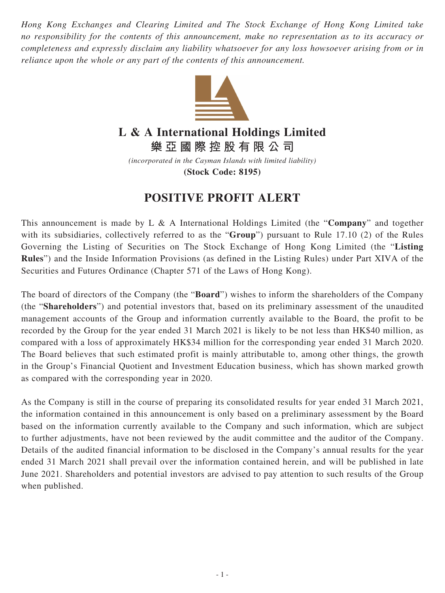*Hong Kong Exchanges and Clearing Limited and The Stock Exchange of Hong Kong Limited take no responsibility for the contents of this announcement, make no representation as to its accuracy or completeness and expressly disclaim any liability whatsoever for any loss howsoever arising from or in reliance upon the whole or any part of the contents of this announcement.*



## **L & A International Holdings Limited**

**樂亞國際控股有限公司**

*(incorporated in the Cayman Islands with limited liability)* **(Stock Code: 8195)**

## **POSITIVE PROFIT ALERT**

This announcement is made by L & A International Holdings Limited (the "**Company**" and together with its subsidiaries, collectively referred to as the "**Group**") pursuant to Rule 17.10 (2) of the Rules Governing the Listing of Securities on The Stock Exchange of Hong Kong Limited (the "**Listing Rules**") and the Inside Information Provisions (as defined in the Listing Rules) under Part XIVA of the Securities and Futures Ordinance (Chapter 571 of the Laws of Hong Kong).

The board of directors of the Company (the "**Board**") wishes to inform the shareholders of the Company (the "**Shareholders**") and potential investors that, based on its preliminary assessment of the unaudited management accounts of the Group and information currently available to the Board, the profit to be recorded by the Group for the year ended 31 March 2021 is likely to be not less than HK\$40 million, as compared with a loss of approximately HK\$34 million for the corresponding year ended 31 March 2020. The Board believes that such estimated profit is mainly attributable to, among other things, the growth in the Group's Financial Quotient and Investment Education business, which has shown marked growth as compared with the corresponding year in 2020.

As the Company is still in the course of preparing its consolidated results for year ended 31 March 2021, the information contained in this announcement is only based on a preliminary assessment by the Board based on the information currently available to the Company and such information, which are subject to further adjustments, have not been reviewed by the audit committee and the auditor of the Company. Details of the audited financial information to be disclosed in the Company's annual results for the year ended 31 March 2021 shall prevail over the information contained herein, and will be published in late June 2021. Shareholders and potential investors are advised to pay attention to such results of the Group when published.